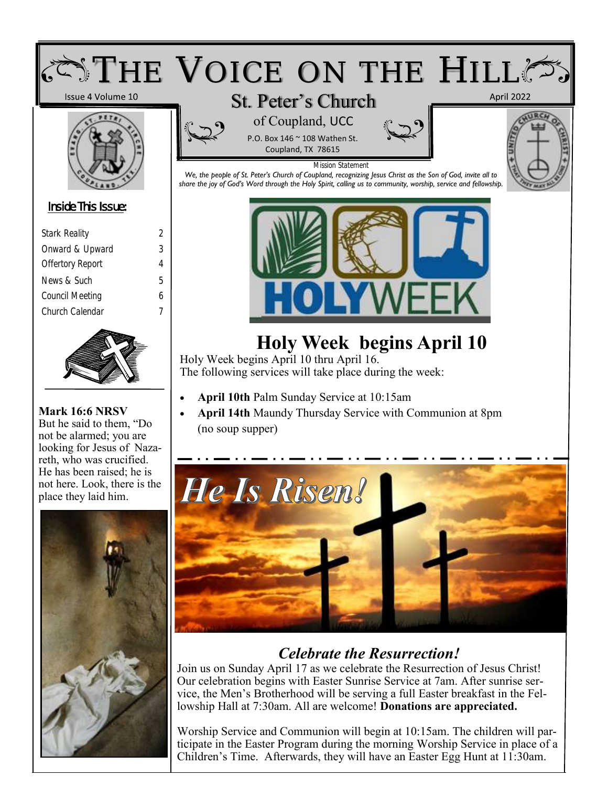

### *Celebrate the Resurrection!*

Join us on Sunday April 17 as we celebrate the Resurrection of Jesus Christ! Our celebration begins with Easter Sunrise Service at 7am. After sunrise service, the Men's Brotherhood will be serving a full Easter breakfast in the Fellowship Hall at 7:30am. All are welcome! **Donations are appreciated.**

Worship Service and Communion will begin at 10:15am. The children will participate in the Easter Program during the morning Worship Service in place of a Children's Time. Afterwards, they will have an Easter Egg Hunt at 11:30am.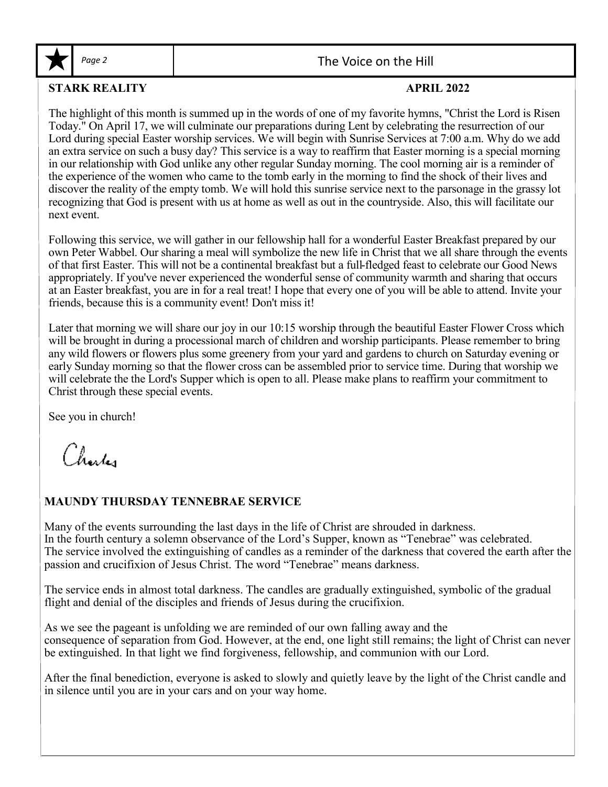

#### Page 2 and 1 and 1 and 2 and 2 and 2 and 2 and 2 and 2 and 2 and 2 and 2 and 2 and 2 and 2 and 2 and 2 and 2 and 2 and 2 and 2 and 2 and 2 and 2 and 2 and 2 and 2 and 2 and 2 and 2 and 2 and 2 and 2 and 2 and 2 and 2 and 2

#### **STARK REALITY APRIL 2022**

The highlight of this month is summed up in the words of one of my favorite hymns, "Christ the Lord is Risen Today." On April 17, we will culminate our preparations during Lent by celebrating the resurrection of our Lord during special Easter worship services. We will begin with Sunrise Services at 7:00 a.m. Why do we add an extra service on such a busy day? This service is a way to reaffirm that Easter morning is a special morning in our relationship with God unlike any other regular Sunday morning. The cool morning air is a reminder of the experience of the women who came to the tomb early in the morning to find the shock of their lives and discover the reality of the empty tomb. We will hold this sunrise service next to the parsonage in the grassy lot recognizing that God is present with us at home as well as out in the countryside. Also, this will facilitate our next event.

Following this service, we will gather in our fellowship hall for a wonderful Easter Breakfast prepared by our own Peter Wabbel. Our sharing a meal will symbolize the new life in Christ that we all share through the events of that first Easter. This will not be a continental breakfast but a full-fledged feast to celebrate our Good News appropriately. If you've never experienced the wonderful sense of community warmth and sharing that occurs at an Easter breakfast, you are in for a real treat! I hope that every one of you will be able to attend. Invite your friends, because this is a community event! Don't miss it!

Later that morning we will share our joy in our 10:15 worship through the beautiful Easter Flower Cross which will be brought in during a processional march of children and worship participants. Please remember to bring any wild flowers or flowers plus some greenery from your yard and gardens to church on Saturday evening or early Sunday morning so that the flower cross can be assembled prior to service time. During that worship we will celebrate the the Lord's Supper which is open to all. Please make plans to reaffirm your commitment to Christ through these special events.

See you in church!

Charles

#### **MAUNDY THURSDAY TENNEBRAE SERVICE**

Many of the events surrounding the last days in the life of Christ are shrouded in darkness. In the fourth century a solemn observance of the Lord's Supper, known as "Tenebrae" was celebrated. The service involved the extinguishing of candles as a reminder of the darkness that covered the earth after the passion and crucifixion of Jesus Christ. The word "Tenebrae" means darkness.

The service ends in almost total darkness. The candles are gradually extinguished, symbolic of the gradual flight and denial of the disciples and friends of Jesus during the crucifixion.

As we see the pageant is unfolding we are reminded of our own falling away and the consequence of separation from God. However, at the end, one light still remains; the light of Christ can never be extinguished. In that light we find forgiveness, fellowship, and communion with our Lord.

After the final benediction, everyone is asked to slowly and quietly leave by the light of the Christ candle and in silence until you are in your cars and on your way home.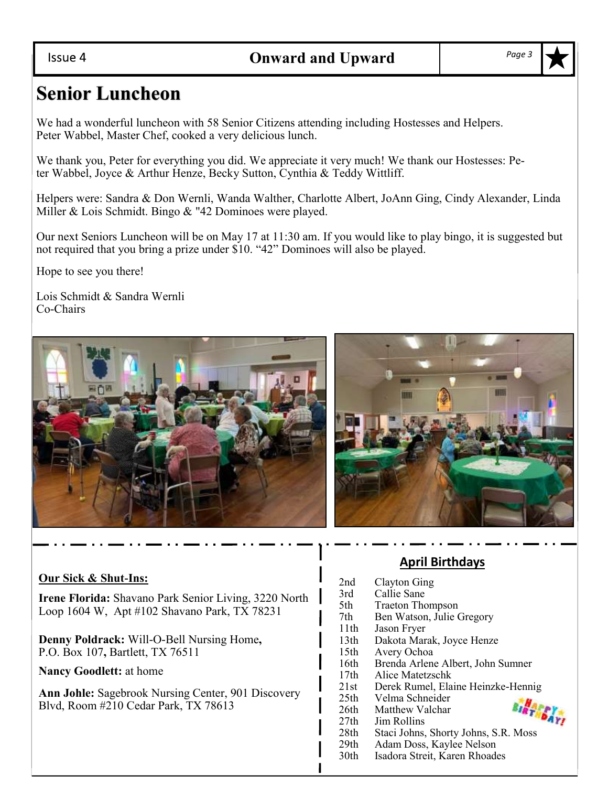#### Issue 4

## **Senior Luncheon**

We had a wonderful luncheon with 58 Senior Citizens attending including Hostesses and Helpers. Peter Wabbel, Master Chef, cooked a very delicious lunch.

We thank you, Peter for everything you did. We appreciate it very much! We thank our Hostesses: Peter Wabbel, Joyce & Arthur Henze, Becky Sutton, Cynthia & Teddy Wittliff.

Helpers were: Sandra & Don Wernli, Wanda Walther, Charlotte Albert, JoAnn Ging, Cindy Alexander, Linda Miller & Lois Schmidt. Bingo & "42 Dominoes were played.

Our next Seniors Luncheon will be on May 17 at 11:30 am. If you would like to play bingo, it is suggested but not required that you bring a prize under \$10. "42" Dominoes will also be played.

Hope to see you there!

Lois Schmidt & Sandra Wernli Co-Chairs





#### **Our Sick & Shut-Ins:**

**Irene Florida:** Shavano Park Senior Living, 3220 North Loop 1604 W, Apt #102 Shavano Park, TX 78231

**Denny Poldrack:** Will-O-Bell Nursing Home**,**  P.O. Box 107**,** Bartlett, TX 76511

**Nancy Goodlett:** at home

**Ann Johle:** Sagebrook Nursing Center, 901 Discovery Blvd, Room #210 Cedar Park, TX 78613

#### **April Birthdays**

| 2nd              | Clayton Ging                         |
|------------------|--------------------------------------|
| 3rd              | Callie Sane                          |
| 5th              | <b>Traeton Thompson</b>              |
| 7th              | Ben Watson, Julie Gregory            |
| 11th             | Jason Fryer                          |
| 13 <sup>th</sup> | Dakota Marak, Joyce Henze            |
| 15 <sup>th</sup> | Avery Ochoa                          |
| 16th             | Brenda Arlene Albert, John Sumner    |
| 17th             | Alice Matetzschk                     |
| 21st             | Derek Rumel, Elaine Heinzke-Hennig   |
| 25 <sup>th</sup> | Velma Schneider                      |
| 26th             | <b>BIRTHDAY!</b><br>Matthew Valchar  |
| 27th             | Jim Rollins                          |
| 28th             | Staci Johns, Shorty Johns, S.R. Moss |
| 29 <sub>th</sub> | Adam Doss, Kaylee Nelson             |
| 30th             | Isadora Streit, Karen Rhoades        |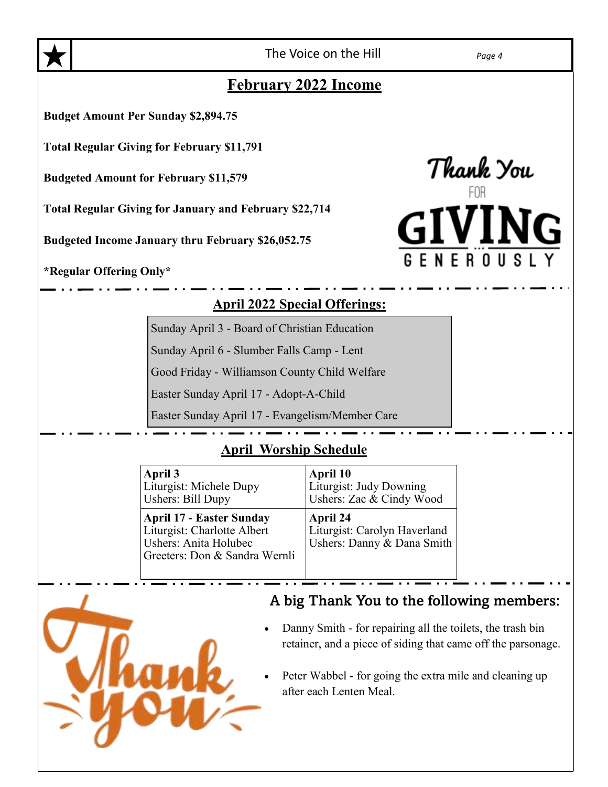The Voice on the Hill *Page 4*

Thank You<br>FOR

### **February 2022 Income**

**Budget Amount Per Sunday \$2,894.75**

**Total Regular Giving for February \$11,791**

**Budgeted Amount for February \$11,579**

**Total Regular Giving for January and February \$22,714**

**Budgeted Income January thru February \$26,052.75**

**\*Regular Offering Only\***

#### **April 2022 Special Offerings:**

Sunday April 3 - Board of Christian Education

Sunday April 6 - Slumber Falls Camp - Lent

Good Friday - Williamson County Child Welfare

Easter Sunday April 17 - Adopt-A-Child

Easter Sunday April 17 - Evangelism/Member Care

#### **April Worship Schedule**

| April 3                                                                                                                  | April 10                                                               |
|--------------------------------------------------------------------------------------------------------------------------|------------------------------------------------------------------------|
| Liturgist: Michele Dupy                                                                                                  | Liturgist: Judy Downing                                                |
| Ushers: Bill Dupy                                                                                                        | Ushers: Zac & Cindy Wood                                               |
| <b>April 17 - Easter Sunday</b><br>Liturgist: Charlotte Albert<br>Ushers: Anita Holubec<br>Greeters: Don & Sandra Wernli | April 24<br>Liturgist: Carolyn Haverland<br>Ushers: Danny & Dana Smith |



### A big Thank You to the following members:

- Danny Smith for repairing all the toilets, the trash bin retainer, and a piece of siding that came off the parsonage.
- Peter Wabbel for going the extra mile and cleaning up after each Lenten Meal.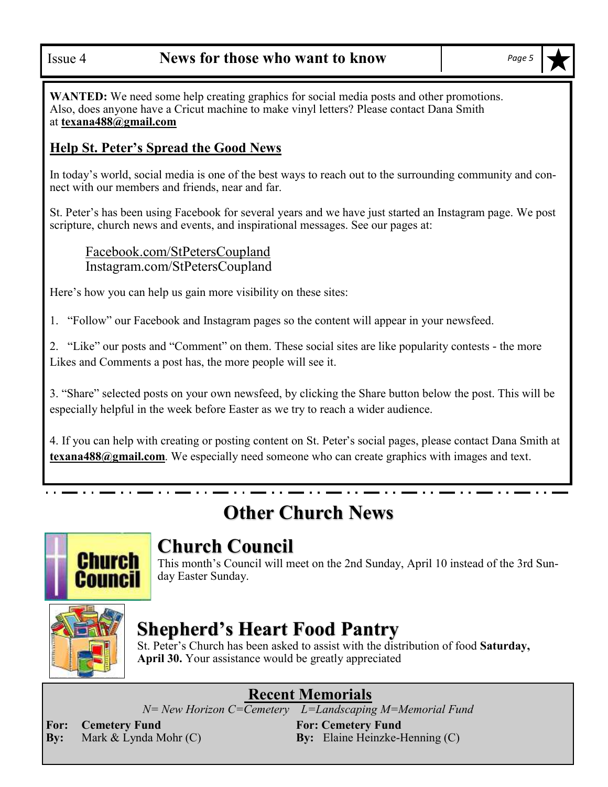**WANTED:** We need some help creating graphics for social media posts and other promotions. Also, does anyone have a Cricut machine to make vinyl letters? Please contact Dana Smith at **texana488@gmail.com**

#### **Help St. Peter's Spread the Good News**

In today's world, social media is one of the best ways to reach out to the surrounding community and connect with our members and friends, near and far.

St. Peter's has been using Facebook for several years and we have just started an Instagram page. We post scripture, church news and events, and inspirational messages. See our pages at:

#### Facebook.com/StPetersCoupland Instagram.com/StPetersCoupland

Here's how you can help us gain more visibility on these sites:

1. "Follow" our Facebook and Instagram pages so the content will appear in your newsfeed.

2. "Like" our posts and "Comment" on them. These social sites are like popularity contests - the more Likes and Comments a post has, the more people will see it.

3. "Share" selected posts on your own newsfeed, by clicking the Share button below the post. This will be especially helpful in the week before Easter as we try to reach a wider audience.

4. If you can help with creating or posting content on St. Peter's social pages, please contact Dana Smith at **texana488@gmail.com**. We especially need someone who can create graphics with images and text.

## **Other Church News**



## **Church Council**

This month's Council will meet on the 2nd Sunday, April 10 instead of the 3rd Sunday Easter Sunday.



## **Shepherd's Heart Food Pantry**

St. Peter's Church has been asked to assist with the distribution of food **Saturday, April 30.** Your assistance would be greatly appreciated

## **Recent Memorials**

*N= New Horizon C=Cemetery L=Landscaping M=Memorial Fund*

**For: Cemetery Fund For: Cemetery Fund**

**By:** Mark & Lynda Mohr (C) **By:** Elaine Heinzke-Henning (C)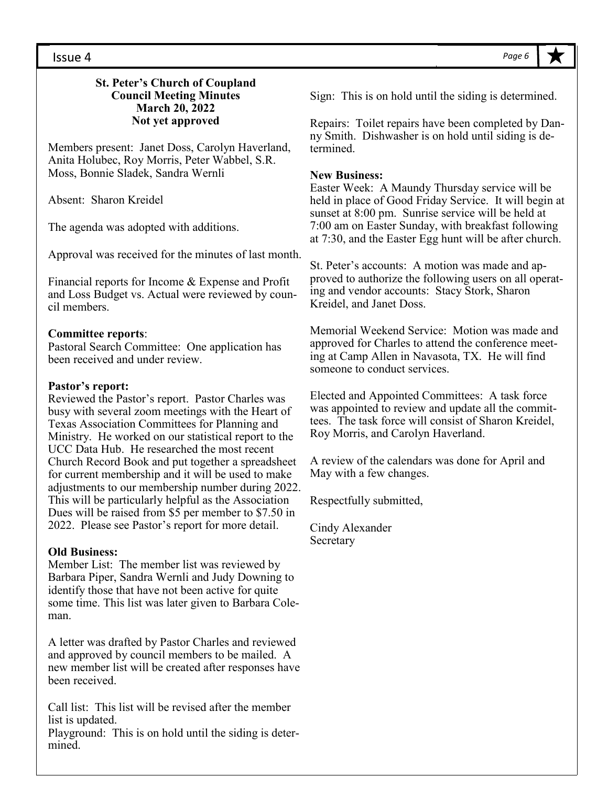#### Issue 4

#### **St. Peter's Church of Coupland Council Meeting Minutes March 20, 2022 Not yet approved**

Members present: Janet Doss, Carolyn Haverland, Anita Holubec, Roy Morris, Peter Wabbel, S.R. Moss, Bonnie Sladek, Sandra Wernli

Absent: Sharon Kreidel

The agenda was adopted with additions.

Approval was received for the minutes of last month.

Financial reports for Income & Expense and Profit and Loss Budget vs. Actual were reviewed by council members.

#### **Committee reports**:

Pastoral Search Committee: One application has been received and under review.

#### **Pastor's report:**

Reviewed the Pastor's report. Pastor Charles was busy with several zoom meetings with the Heart of Texas Association Committees for Planning and Ministry. He worked on our statistical report to the UCC Data Hub. He researched the most recent Church Record Book and put together a spreadsheet for current membership and it will be used to make adjustments to our membership number during 2022. This will be particularly helpful as the Association Dues will be raised from \$5 per member to \$7.50 in 2022. Please see Pastor's report for more detail.

#### **Old Business:**

Member List: The member list was reviewed by Barbara Piper, Sandra Wernli and Judy Downing to identify those that have not been active for quite some time. This list was later given to Barbara Coleman.

A letter was drafted by Pastor Charles and reviewed and approved by council members to be mailed. A new member list will be created after responses have been received.

Call list: This list will be revised after the member list is updated.

Playground: This is on hold until the siding is determined.

Sign: This is on hold until the siding is determined.

Repairs: Toilet repairs have been completed by Danny Smith. Dishwasher is on hold until siding is determined.

#### **New Business:**

Easter Week: A Maundy Thursday service will be held in place of Good Friday Service. It will begin at sunset at 8:00 pm. Sunrise service will be held at 7:00 am on Easter Sunday, with breakfast following at 7:30, and the Easter Egg hunt will be after church.

St. Peter's accounts: A motion was made and approved to authorize the following users on all operating and vendor accounts: Stacy Stork, Sharon Kreidel, and Janet Doss.

Memorial Weekend Service: Motion was made and approved for Charles to attend the conference meeting at Camp Allen in Navasota, TX. He will find someone to conduct services.

Elected and Appointed Committees: A task force was appointed to review and update all the committees. The task force will consist of Sharon Kreidel, Roy Morris, and Carolyn Haverland.

A review of the calendars was done for April and May with a few changes.

Respectfully submitted,

Cindy Alexander Secretary

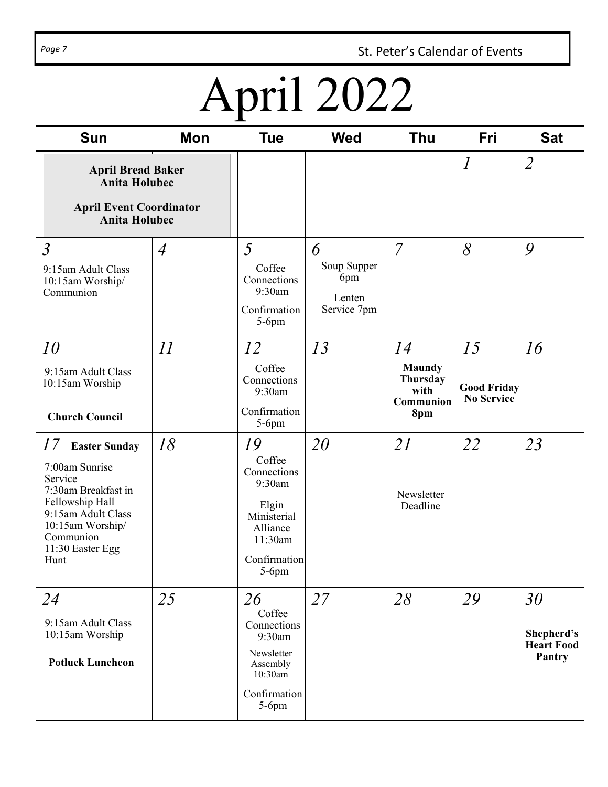Page 7 **St. Peter's Calendar of Events** 

# April 2022

| <b>Sun</b>                                                                                                                                                                           | <b>Mon</b>     | Tue                                                                                                              | <b>Wed</b>                                       | <b>Thu</b>                                                         | Fri                                           | <b>Sat</b>                                      |
|--------------------------------------------------------------------------------------------------------------------------------------------------------------------------------------|----------------|------------------------------------------------------------------------------------------------------------------|--------------------------------------------------|--------------------------------------------------------------------|-----------------------------------------------|-------------------------------------------------|
| <b>April Bread Baker</b><br><b>Anita Holubec</b><br><b>April Event Coordinator</b><br><b>Anita Holubec</b>                                                                           |                |                                                                                                                  |                                                  |                                                                    | $\boldsymbol{l}$                              | $\overline{2}$                                  |
| $\mathfrak{Z}$<br>9:15am Adult Class<br>10:15am Worship/<br>Communion                                                                                                                | $\overline{A}$ | 5<br>Coffee<br>Connections<br>9:30am<br>Confirmation<br>$5-6$ pm                                                 | 6<br>Soup Supper<br>6pm<br>Lenten<br>Service 7pm | $\overline{7}$                                                     | 8                                             | 9                                               |
| 10<br>9:15am Adult Class<br>10:15am Worship<br><b>Church Council</b>                                                                                                                 | II             | 12<br>Coffee<br>Connections<br>9:30am<br>Confirmation<br>$5-6$ pm                                                | 13                                               | 14<br><b>Maundy</b><br><b>Thursday</b><br>with<br>Communion<br>8pm | 15<br><b>Good Friday</b><br><b>No Service</b> | 16                                              |
| 17<br><b>Easter Sunday</b><br>7:00am Sunrise<br>Service<br>7:30am Breakfast in<br>Fellowship Hall<br>9:15am Adult Class<br>10:15am Worship/<br>Communion<br>11:30 Easter Egg<br>Hunt | 18             | 19<br>Coffee<br>Connections<br>9:30am<br>Elgin<br>Ministerial<br>Alliance<br>11:30am<br>Confirmation<br>$5-6$ pm | 20                                               | 21<br>Newsletter<br>Deadline                                       | 22                                            | 23                                              |
| 24<br>9:15am Adult Class<br>10:15am Worship<br><b>Potluck Luncheon</b>                                                                                                               | 25             | 26<br>Coffee<br>Connections<br>9:30am<br>Newsletter<br>Assembly<br>10:30am<br>Confirmation<br>$5-6$ pm           | 27                                               | 28                                                                 | 29                                            | 30<br>Shepherd's<br><b>Heart Food</b><br>Pantry |